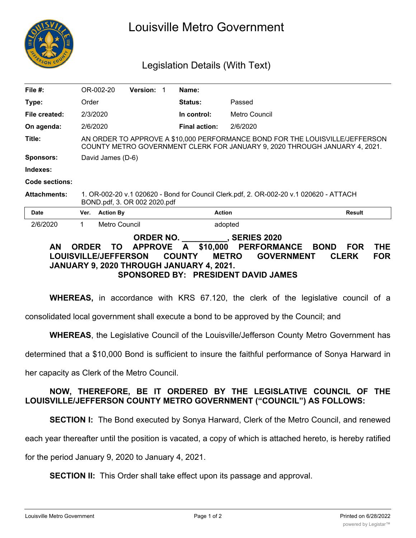

## Louisville Metro Government

## Legislation Details (With Text)

| File $#$ :                                                                                                                                                                                                                                                                                                                                                                                 |                                                                                                                                                            | OR-002-20        | <b>Version:</b> |  | Name:                |               |               |
|--------------------------------------------------------------------------------------------------------------------------------------------------------------------------------------------------------------------------------------------------------------------------------------------------------------------------------------------------------------------------------------------|------------------------------------------------------------------------------------------------------------------------------------------------------------|------------------|-----------------|--|----------------------|---------------|---------------|
| Type:                                                                                                                                                                                                                                                                                                                                                                                      | Order                                                                                                                                                      |                  |                 |  | <b>Status:</b>       | Passed        |               |
| File created:                                                                                                                                                                                                                                                                                                                                                                              | 2/3/2020                                                                                                                                                   |                  |                 |  | In control:          | Metro Council |               |
| On agenda:                                                                                                                                                                                                                                                                                                                                                                                 | 2/6/2020                                                                                                                                                   |                  |                 |  | <b>Final action:</b> | 2/6/2020      |               |
| Title:                                                                                                                                                                                                                                                                                                                                                                                     | AN ORDER TO APPROVE A \$10,000 PERFORMANCE BOND FOR THE LOUISVILLE/JEFFERSON<br>COUNTY METRO GOVERNMENT CLERK FOR JANUARY 9, 2020 THROUGH JANUARY 4, 2021. |                  |                 |  |                      |               |               |
| <b>Sponsors:</b>                                                                                                                                                                                                                                                                                                                                                                           | David James (D-6)                                                                                                                                          |                  |                 |  |                      |               |               |
| Indexes:                                                                                                                                                                                                                                                                                                                                                                                   |                                                                                                                                                            |                  |                 |  |                      |               |               |
| Code sections:                                                                                                                                                                                                                                                                                                                                                                             |                                                                                                                                                            |                  |                 |  |                      |               |               |
| <b>Attachments:</b>                                                                                                                                                                                                                                                                                                                                                                        | 1. OR-002-20 v.1 020620 - Bond for Council Clerk.pdf, 2. OR-002-20 v.1 020620 - ATTACH<br>BOND.pdf, 3. OR 002 2020.pdf                                     |                  |                 |  |                      |               |               |
| <b>Date</b>                                                                                                                                                                                                                                                                                                                                                                                | Ver.                                                                                                                                                       | <b>Action By</b> |                 |  | <b>Action</b>        |               | <b>Result</b> |
| 2/6/2020                                                                                                                                                                                                                                                                                                                                                                                   | 1.                                                                                                                                                         | Metro Council    |                 |  | adopted              |               |               |
| ORDER NO.<br><b>SERIES 2020</b><br><b>AN</b><br><b>APPROVE</b><br>\$10,000<br><b>PERFORMANCE</b><br><b>THE</b><br><b>TO</b><br>A<br><b>BOND</b><br><b>FOR</b><br><b>ORDER</b><br><b>METRO</b><br><b>GOVERNMENT</b><br><b>FOR</b><br><b>LOUISVILLE/JEFFERSON</b><br><b>COUNTY</b><br><b>CLERK</b><br>JANUARY 9, 2020 THROUGH JANUARY 4, 2021.<br><b>SPONSORED BY: PRESIDENT DAVID JAMES</b> |                                                                                                                                                            |                  |                 |  |                      |               |               |

**WHEREAS,** in accordance with KRS 67.120, the clerk of the legislative council of a

consolidated local government shall execute a bond to be approved by the Council; and

**WHEREAS**, the Legislative Council of the Louisville/Jefferson County Metro Government has

determined that a \$10,000 Bond is sufficient to insure the faithful performance of Sonya Harward in

her capacity as Clerk of the Metro Council.

## **NOW, THEREFORE, BE IT ORDERED BY THE LEGISLATIVE COUNCIL OF THE LOUISVILLE/JEFFERSON COUNTY METRO GOVERNMENT ("COUNCIL") AS FOLLOWS:**

**SECTION I:** The Bond executed by Sonya Harward, Clerk of the Metro Council, and renewed

each year thereafter until the position is vacated, a copy of which is attached hereto, is hereby ratified

for the period January 9, 2020 to January 4, 2021.

**SECTION II:** This Order shall take effect upon its passage and approval.